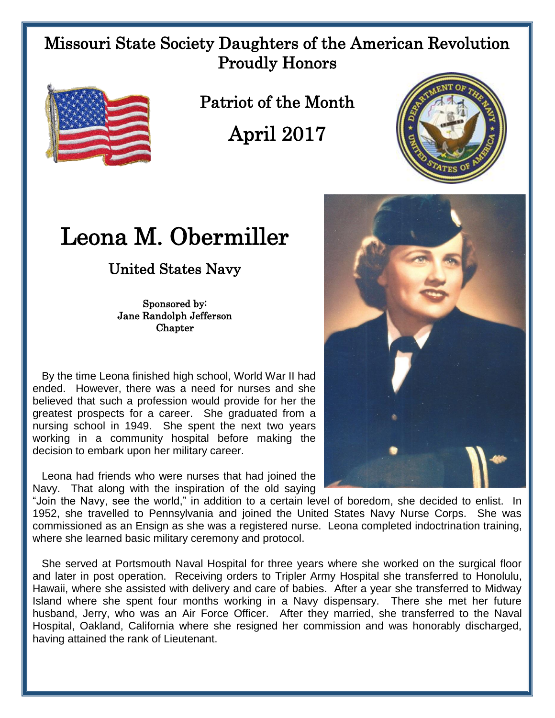## Missouri State Society Daughters of the American Revolution Proudly Honors



Patriot of the Month

April 2017

## Leona M. Obermiller

## United States Navy

Sponsored by: Jane Randolph Jefferson **Chapter** 

 By the time Leona finished high school, World War II had ended. However, there was a need for nurses and she believed that such a profession would provide for her the greatest prospects for a career. She graduated from a nursing school in 1949. She spent the next two years working in a community hospital before making the decision to embark upon her military career.

 Leona had friends who were nurses that had joined the Navy. That along with the inspiration of the old saying

"Join the Navy, see the world," in addition to a certain level of boredom, she decided to enlist. In 1952, she travelled to Pennsylvania and joined the United States Navy Nurse Corps. She was commissioned as an Ensign as she was a registered nurse. Leona completed indoctrination training, where she learned basic military ceremony and protocol.

 She served at Portsmouth Naval Hospital for three years where she worked on the surgical floor and later in post operation. Receiving orders to Tripler Army Hospital she transferred to Honolulu, Hawaii, where she assisted with delivery and care of babies. After a year she transferred to Midway Island where she spent four months working in a Navy dispensary. There she met her future husband, Jerry, who was an Air Force Officer. After they married, she transferred to the Naval Hospital, Oakland, California where she resigned her commission and was honorably discharged, having attained the rank of Lieutenant.